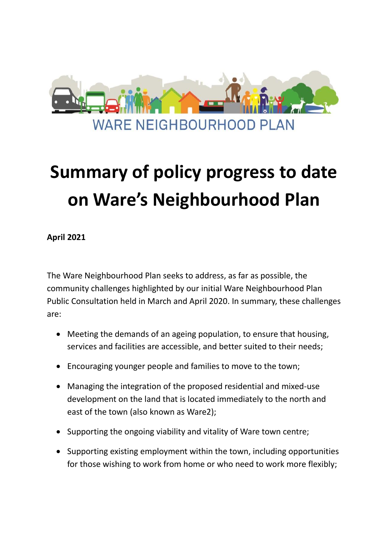

## **Summary of policy progress to date on Ware's Neighbourhood Plan**

**April 2021**

The Ware Neighbourhood Plan seeks to address, as far as possible, the community challenges highlighted by our initial Ware Neighbourhood Plan Public Consultation held in March and April 2020. In summary, these challenges are:

- Meeting the demands of an ageing population, to ensure that housing, services and facilities are accessible, and better suited to their needs;
- Encouraging younger people and families to move to the town;
- Managing the integration of the proposed residential and mixed-use development on the land that is located immediately to the north and east of the town (also known as Ware2);
- Supporting the ongoing viability and vitality of Ware town centre;
- Supporting existing employment within the town, including opportunities for those wishing to work from home or who need to work more flexibly;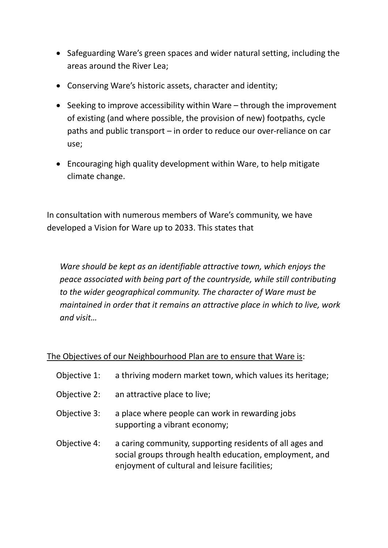- Safeguarding Ware's green spaces and wider natural setting, including the areas around the River Lea;
- Conserving Ware's historic assets, character and identity;
- Seeking to improve accessibility within Ware through the improvement of existing (and where possible, the provision of new) footpaths, cycle paths and public transport – in order to reduce our over-reliance on car use;
- Encouraging high quality development within Ware, to help mitigate climate change.

In consultation with numerous members of Ware's community, we have developed a Vision for Ware up to 2033. This states that

*Ware should be kept as an identifiable attractive town, which enjoys the peace associated with being part of the countryside, while still contributing to the wider geographical community. The character of Ware must be maintained in order that it remains an attractive place in which to live, work and visit…*

## The Objectives of our Neighbourhood Plan are to ensure that Ware is:

| Objective 1: | a thriving modern market town, which values its heritage;                                                                                                            |
|--------------|----------------------------------------------------------------------------------------------------------------------------------------------------------------------|
| Objective 2: | an attractive place to live;                                                                                                                                         |
| Objective 3: | a place where people can work in rewarding jobs<br>supporting a vibrant economy;                                                                                     |
| Objective 4: | a caring community, supporting residents of all ages and<br>social groups through health education, employment, and<br>enjoyment of cultural and leisure facilities; |